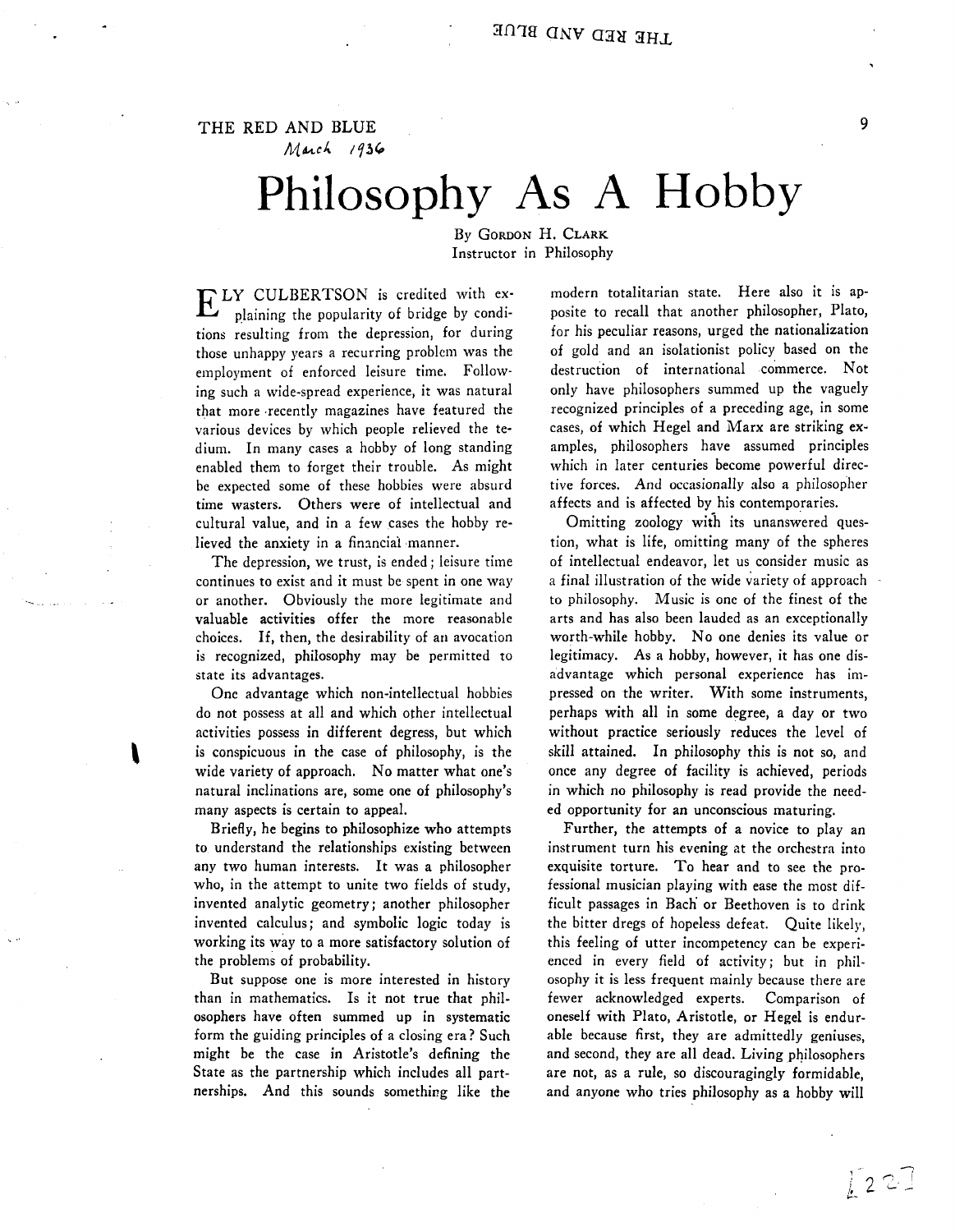THE RED AND BLUE *Muc4 193(,* 

## **Philosophy As A Hobby**

By GORDON H. CLARK Instructor in Philosophy

ELY CULBERTSON is credited with ex-plaining the popularity of bridge by conditions resulting from the depression, for during those unhappy years a recurring problem was the employment of enforced leisure time. Following such a wide-spread experience, it was natural that more .recently magazines have featured the various devices by which people relieved the tedium. In many cases a hobby of long standing enabled them to forget their trouble. As might be expected some of these hobbies were absurd time wasters. Others were of intellectual and cultural value, and in a few cases the hobby relieved the anxiety in a financial manner.

The depression, we trust, is ended; leisure time continues to exist and it must be spent in one way or another. Obviously the more legitimate and valuable activities offer the more reasonable choices. If, then, the desirability of an avocation is recognized, philosophy may be permitted to state its advantages.

One advantage which non-intellectual hobbies do not possess at all and which other intellectual activities possess in different degress, but which is conspicuous in the case of philosophy, is the wide variety of approach. No matter what one's natural inclinations are, some one of philosophy's many aspects is certain to appeal.

,

Briefly, he begins to philosophize who attempts to understand the relationships existing between any two human interests. It was a philosopher who, in the attempt to unite two fields of study, invented analytic geometry; another philosopher invented calculus; and symbolic logic today is working its way to a more satisfactory solution of the problems of probability.

But suppose one is more interested in history than in mathematics. Is it not true that philosophers have often summed up in systematic form the guiding principles of a closing era? Such might be the case in Aristotle's defining the State as the partnership which includes all partnerships. And this sounds something like the modern totalitarian state. Here also it is apposite to recall that another philosopher, Plato, for his peculiar reasons, urged the nationalization of gold and an isolationist policy based on the destruction of international commerce. Not only have philosophers summed up the vaguely recognized principles of a preceding age, in some cases, of which Hegel and Marx are striking examples, philosophers have assumed principles which in later centuries become powerful directive forces. And occasionally also a philosopher affects and is affected by his contemporaries.

Omitting zoology with its unanswered question, what is life, omitting many of the spheres of intellectual endeavor, let us consider music as a final illustration of the wide variety of approach to philosophy. Music is one of the finest of the arts and has also been lauded as an exceptionally worth-while hobby. No one denies its value or legitimacy. As a hobby, however, it has one disadvantage which personal experience has impressed on the writer. With some instruments, perhaps with all in some degree, a day or two without practice seriously reduces the level of skill attained. In philosophy this is not so, and once any degree of facility is achieved, periods in which no philosophy is read provide the needed opportunity for an unconscious maturing.

Further, the attempts of a novice to play an instrument turn his evening at the orchestra into exquisite torture. To hear and to see the professional musician playing with ease the most difficult passages in Bach or Beethoven is to drink the bitter dregs of hopeless defeat. Quite likely, this feeling of utter incompetency can be experienced in every field of activity; but in philosophy it is less frequent mainly because there are fewer acknowledged experts. Comparison of oneself with Plato, Aristotle, or Hegel is endurable because first, they are admittedly geniuses, and second, they are all dead. Living philosophers are not, as a rule, so discouragingly formidable, and anyone who tries philosophy as a hobby will

9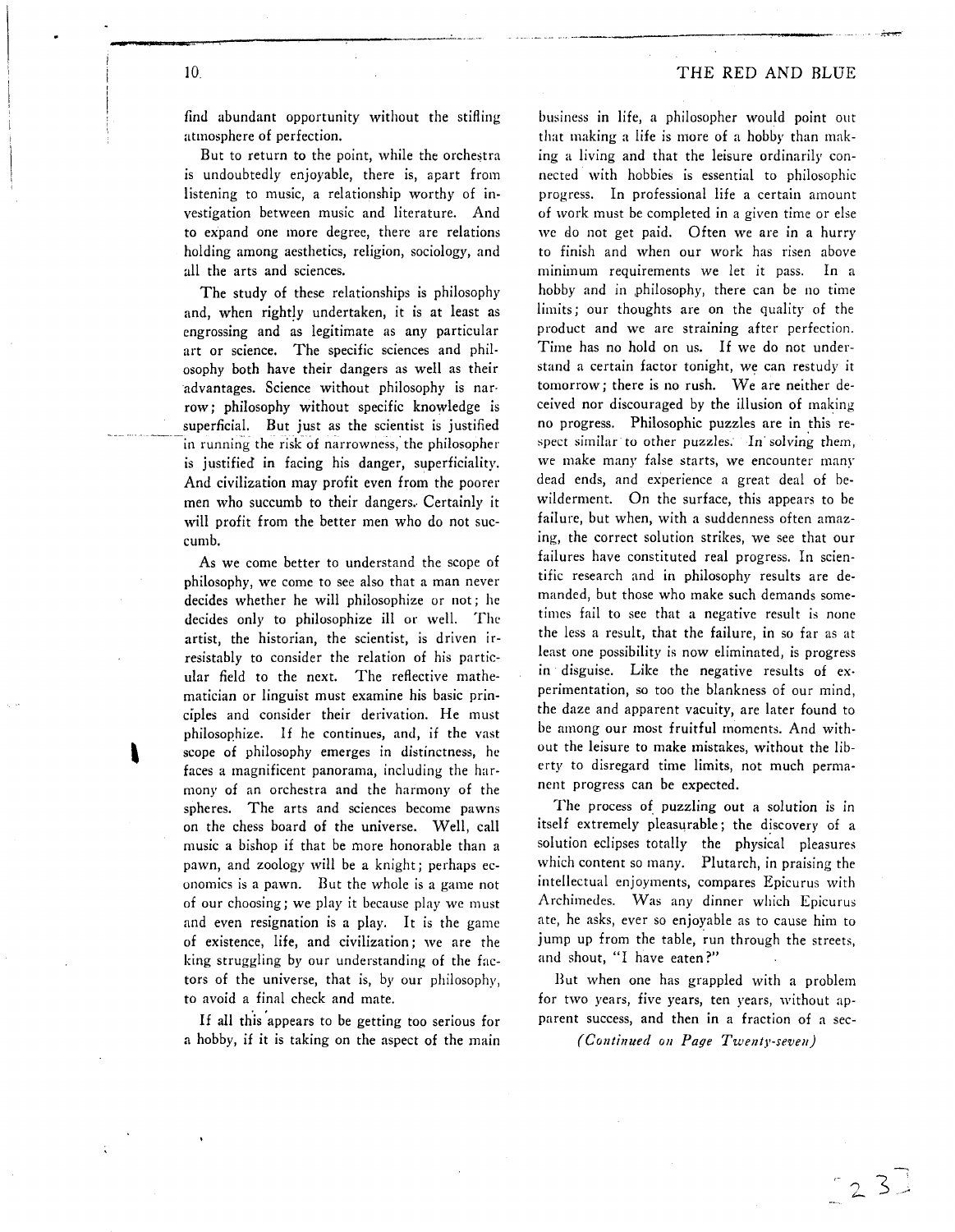... "' .... \_\_ •. \_-----\_.-,--.,..---

find abundant opportunity without the stifling atmosphere of perfection.

But to return to the point, while the orchestra is undoubtedly enjoyable, there is, apart from listening to music, a relationship worthy of investigation between music and literature. And to expand one more degree, there are relations holding among aesthetics, religion, sociology, and all the arts and sciences.

The study of these relationships is philosophy and, when rightly undertaken, it is at least as engrossing and as legitimate as any particular art or science. The specific sciences and phil· osophy both have their dangers as well as their advantages. Science without philosophy is nar· row; philosophy without specific knowledge is superficial. But just as the scientist is justified in running the risk of narrowness, the philosopher is justified in facing his danger, superficiality. And civilization may profit even from the poorer men who succumb to their dangers. Certainly it will profit from the better men who do not succumb.

As we come better to understand the scope of philosophy, we come to see also that a man never decides whether he will philosophize or not; he decides only to philosophize ill or well. The artist, the historian, the scientist, is driven irresistably to consider the relation of his particular field to the next. The reflective mathematician or linguist must examine his basic principles and consider their derivation. He must philosophize. If he continues, and, if the vast scope of philosophy emerges in distinctness, he faces a magnificent panorama, including the harmony of an orchestra and the harmony of the spheres. The arts and sciences become pawns on the chess board of the universe. Well, call music a bishop if that be more honorable than a pawn, and zoology will be a knight; perhaps economics is a pawn. But the whole is a game not of our choosing; we play it because play we must and even resignation is a play. It is the game of existence, life, and civilization; we are the king struggling by our understanding of the factors of the universe, that is, by our philosophy, to avoid a final check and mate.

If all this appears to be getting too serious for a hobby, if it is taking on the aspect of the main

business in life, a philosopher would point out that making a life is more of a hobby than making a living and that the leisure ordinarily connected with hobbies is essential to philosophic progress. In professional life a certain amount of work must be completed in a given time or else we do not get paid. Often we are in a hurry to finish and when our work has risen above minimum requirements we let it pass. In a hobby and in philosophy, there can be no time limits; our thoughts are on the quality of the product and we are straining after perfection. Time has no hold on us. If we do not understand a certain factor tonight, we can restudy it tomorrow; there is no rush. We are neither deceived nor discouraged by the illusion of making no progress. Philosophic puzzles are in this respect similar to other puzzles. In solving them, we make many false starts, we encounter many dead ends, and experience a great deal of bewilderment. On the surface, this appears to be failure, but when, with a suddenness often amazing, the correct solution strikes, we see that our failures have constituted real progress. In scientific research and in philosophy results are demanded, but those who make such demands sometimes fail to see that a negative result is none the less a result, that the failure, in so far as at least one possibility is now eliminated, is progress in disguise. Like the negative results of experimentation, so too the blankness of our mind, the daze and apparent vacuity, are later found to be among our most fruitful moments. And without the leisure to make mistakes, without the liberty to disregard time limits, not much permanent progress can be expected.

The process of puzzling out a solution is in itself extremely pleasurable; the discovery of a solution eclipses totally the physical pleasures which content so many. Plutarch, in praising the intellectual enjoyments, compares Epicurus with Archimedes. Was any dinner which Epicurus ate, he asks, ever so enjoyable as to cause him to jump up from the table, run through the streets, and shout, "I have eaten?"

But when one has grappled with a problem for two years, five years, ten years, without apparent success, and then in a fraction of a sec-

*(Continued on Page Twenty-seven)* 

 $z$  3]

10.

**.. C04P**